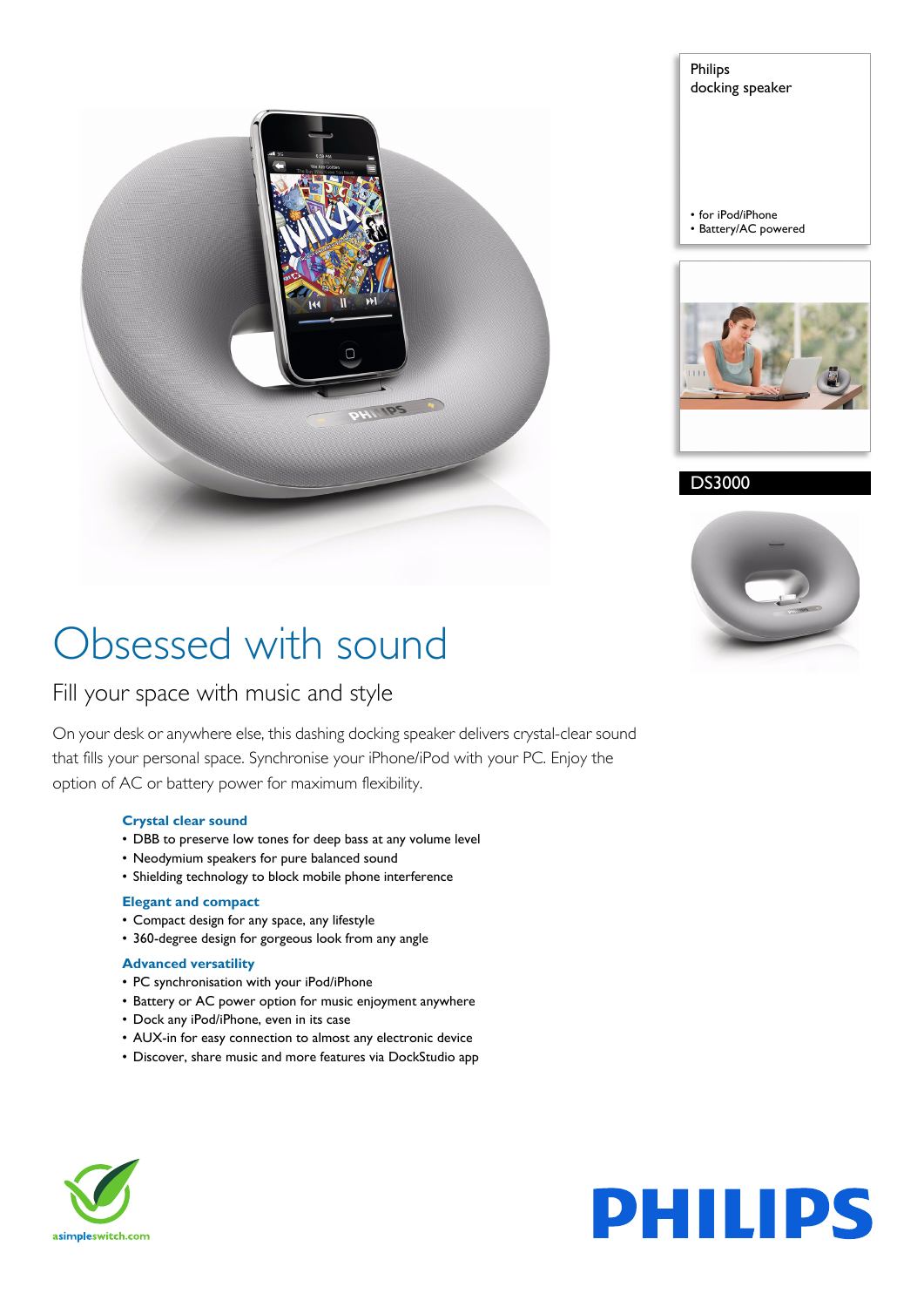

Philips docking speaker

• for iPod/iPhone • Battery/AC powered



DS3000



# Obsessed with sound

# Fill your space with music and style

On your desk or anywhere else, this dashing docking speaker delivers crystal-clear sound that fills your personal space. Synchronise your iPhone/iPod with your PC. Enjoy the option of AC or battery power for maximum flexibility.

# **Crystal clear sound**

- DBB to preserve low tones for deep bass at any volume level
- Neodymium speakers for pure balanced sound
- Shielding technology to block mobile phone interference

### **Elegant and compact**

- Compact design for any space, any lifestyle
- 360-degree design for gorgeous look from any angle

### **Advanced versatility**

- PC synchronisation with your iPod/iPhone
- Battery or AC power option for music enjoyment anywhere
- Dock any iPod/iPhone, even in its case
- AUX-in for easy connection to almost any electronic device
- Discover, share music and more features via DockStudio app